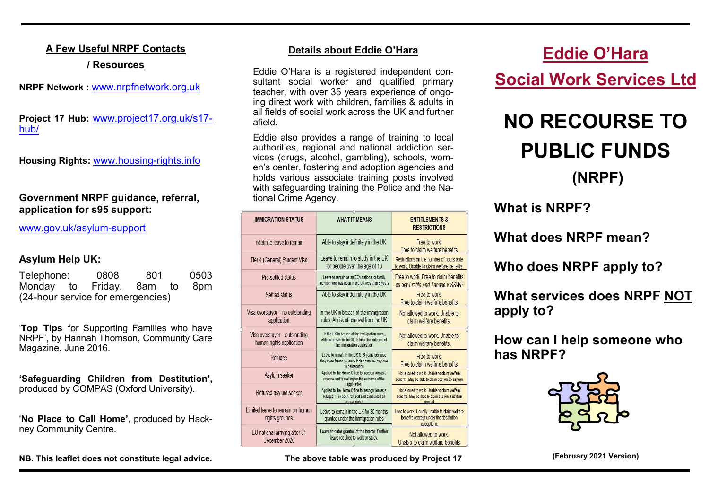### **A Few Useful NRPF Contacts**

### **/ Resources**

**NRPF Network :** www.nrpfnetwork.org.uk

**Project 17 Hub:** [www.project17.org.uk/s17](https://www.project17.org.uk/s17-hub/) [hub/](https://www.project17.org.uk/s17-hub/)

**Housing Rights:** [www.housing](http://www.housing-rights.info)-rights.info

### **Government NRPF guidance, referral, application for s95 support:**

[www.gov.uk/asylum](http://www.gov.uk/asylum-support)-support

### **Asylum Help UK:**

| Telephone:                        |  | 0808                         | 801 |  | 0503 |  |  |
|-----------------------------------|--|------------------------------|-----|--|------|--|--|
|                                   |  | Monday to Friday, 8am to 8pm |     |  |      |  |  |
| (24-hour service for emergencies) |  |                              |     |  |      |  |  |

'**Top Tips** for Supporting Families who have NRPF', by Hannah Thomson, Community Care Magazine, June 2016.

**'Safeguarding Children from Destitution',**  produced by COMPAS (Oxford University).

'**No Place to Call Home'**, produced by Hackney Community Centre.

**NB. This leaflet does not constitute legal advice.**

### **Details about Eddie O'Hara**

Eddie O'Hara is a registered independent consultant social worker and qualified primary teacher, with over 35 years experience of ongoing direct work with children, families & adults in all fields of social work across the UK and further afield.

Eddie also provides a range of training to local authorities, regional and national addiction services (drugs, alcohol, gambling), schools, women's center, fostering and adoption agencies and holds various associate training posts involved with safequarding training the Police and the National Crime Agency.

|  | <b>IMMIGRATION STATUS</b>                                 | <b>WHAT IT MEANS</b>                                                                                                            | <b>ENTITLEMENTS &amp;</b><br><b>RESTRICTIONS</b>                                                            |  |  |  |
|--|-----------------------------------------------------------|---------------------------------------------------------------------------------------------------------------------------------|-------------------------------------------------------------------------------------------------------------|--|--|--|
|  | Indefinite leave to remain                                | Able to stay indefinitely in the UK                                                                                             | Free to work<br>Free to claim welfare benefits                                                              |  |  |  |
|  | Tier 4 (General) Student Visa                             | Leave to remain to study in the UK<br>for people over the age of 16                                                             | Restrictions on the number of hours able<br>to work. Unable to claim welfare benefits.                      |  |  |  |
|  | Pre-settled status                                        | Leave to remain as an EEA national or family<br>member who has been in the UK less than 5 years                                 | Free to work. Free to claim benefits<br>as per Fratila and Tanase v SSWP                                    |  |  |  |
|  | Settled status                                            | Able to stay indefinitely in the UK                                                                                             | Free to work<br>Free to claim welfare benefits                                                              |  |  |  |
|  | Visa overstayer - no outstanding<br>application           | In the UK in breach of the immigration<br>rules. At risk of removal from the UK                                                 | Not allowed to work. Unable to<br>claim welfare benefits.                                                   |  |  |  |
|  | Visa overstayer - outstanding<br>human rights application | In the UK in breach of the immigration rules.<br>Able to remain in the UK to hear the outcome of<br>the immigration application | Not allowed to work Unable to<br>claim welfare benefits.                                                    |  |  |  |
|  | Refugee                                                   | Leave to remain in the UK for 5 years because<br>they were forced to leave their home country due<br>to persecution             | Free to work<br>Free to claim welfare benefits                                                              |  |  |  |
|  | Asylum seeker                                             | Applied to the Home Office for recognition as a<br>refugee and is waiting for the outcome of the<br>application.                | Not allowed to work. Unable to claim welfare<br>benefits. May be able to claim section 95 asylum            |  |  |  |
|  | Refused asylum seeker                                     | Applied to the Home Office for recognition as a<br>refugee. Has been refused and exhausted all<br>appeal rights                 | Not allowed to work. Unable to claim welfare<br>benefits. May be able to claim section 4 asylum<br>support. |  |  |  |
|  | Limited leave to remain on human<br>rights grounds        | Leave to remain in the UK for 30 months<br>granted under the immigration rules                                                  | Free to work. Usually unable to claim welfare<br>benefits (except under the destitution<br>exception)       |  |  |  |
|  | EU national arriving after 31<br>December 2020            | Leave to enter granted at the border. Further<br>leave required to work or study.                                               | Not allowed to work<br>Unable to claim welfare benefits                                                     |  |  |  |

**The above table was produced by Project 17**

## **Eddie O'Hara**

**Social Work Services Ltd**

# **NO RECOURSE TO PUBLIC FUNDS (NRPF)**

### **What is NRPF?**

**What does NRPF mean?**

**Who does NRPF apply to?**

### **What services does NRPF NOT apply to?**

**How can I help someone who has NRPF?**



**(February 2021 Version)**